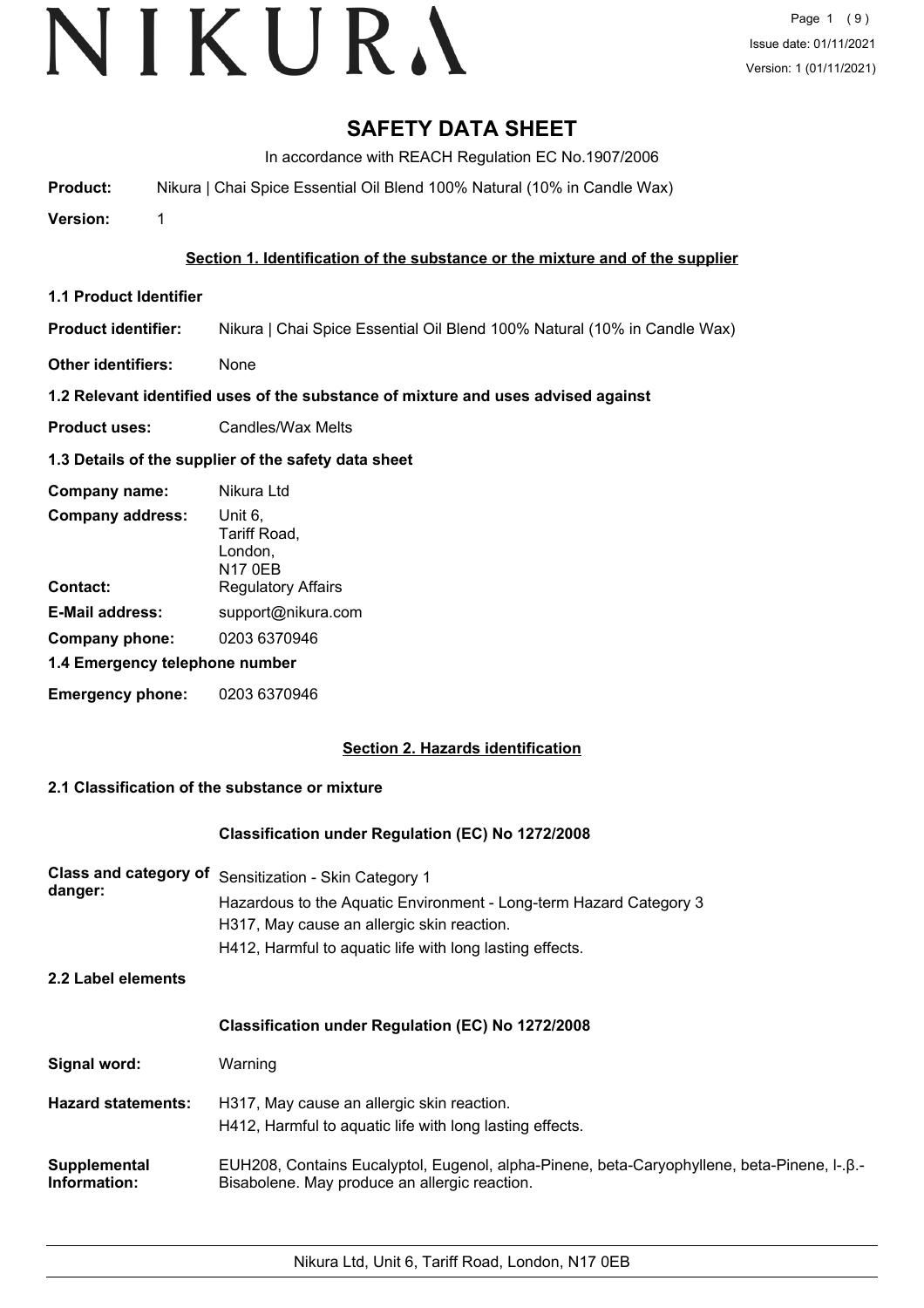# **SAFETY DATA SHEET**

In accordance with REACH Regulation EC No.1907/2006

**Product:** Nikura | Chai Spice Essential Oil Blend 100% Natural (10% in Candle Wax)

**Version:** 1

# **Section 1. Identification of the substance or the mixture and of the supplier**

- **1.1 Product Identifier**
- **Product identifier:** Nikura | Chai Spice Essential Oil Blend 100% Natural (10% in Candle Wax)
- **Other identifiers:** None

# **1.2 Relevant identified uses of the substance of mixture and uses advised against**

**Product uses:** Candles/Wax Melts

# **1.3 Details of the supplier of the safety data sheet**

| Company name:                  | Nikura Ltd                                           |
|--------------------------------|------------------------------------------------------|
| <b>Company address:</b>        | Unit 6,<br>Tariff Road,<br>London,<br><b>N17 0EB</b> |
| Contact:                       | <b>Regulatory Affairs</b>                            |
| <b>E-Mail address:</b>         | support@nikura.com                                   |
| Company phone:                 | 0203 6370946                                         |
| 1.4 Emergency telephone number |                                                      |
| <b>Emergency phone:</b>        | 0203 6370946                                         |

# **Section 2. Hazards identification**

# **2.1 Classification of the substance or mixture**

# **Classification under Regulation (EC) No 1272/2008**

| Class and category of<br>danger: | Sensitization - Skin Category 1<br>Hazardous to the Aquatic Environment - Long-term Hazard Category 3<br>H317, May cause an allergic skin reaction.<br>H412, Harmful to aquatic life with long lasting effects. |
|----------------------------------|-----------------------------------------------------------------------------------------------------------------------------------------------------------------------------------------------------------------|
| 2.2 Label elements               |                                                                                                                                                                                                                 |
|                                  | Classification under Regulation (EC) No 1272/2008                                                                                                                                                               |
| Signal word:                     | Warning                                                                                                                                                                                                         |
| <b>Hazard statements:</b>        | H317, May cause an allergic skin reaction.<br>H412, Harmful to aquatic life with long lasting effects.                                                                                                          |
| Supplemental<br>Information:     | EUH208, Contains Eucalyptol, Eugenol, alpha-Pinene, beta-Caryophyllene, beta-Pinene, I-. B.-<br>Bisabolene. May produce an allergic reaction.                                                                   |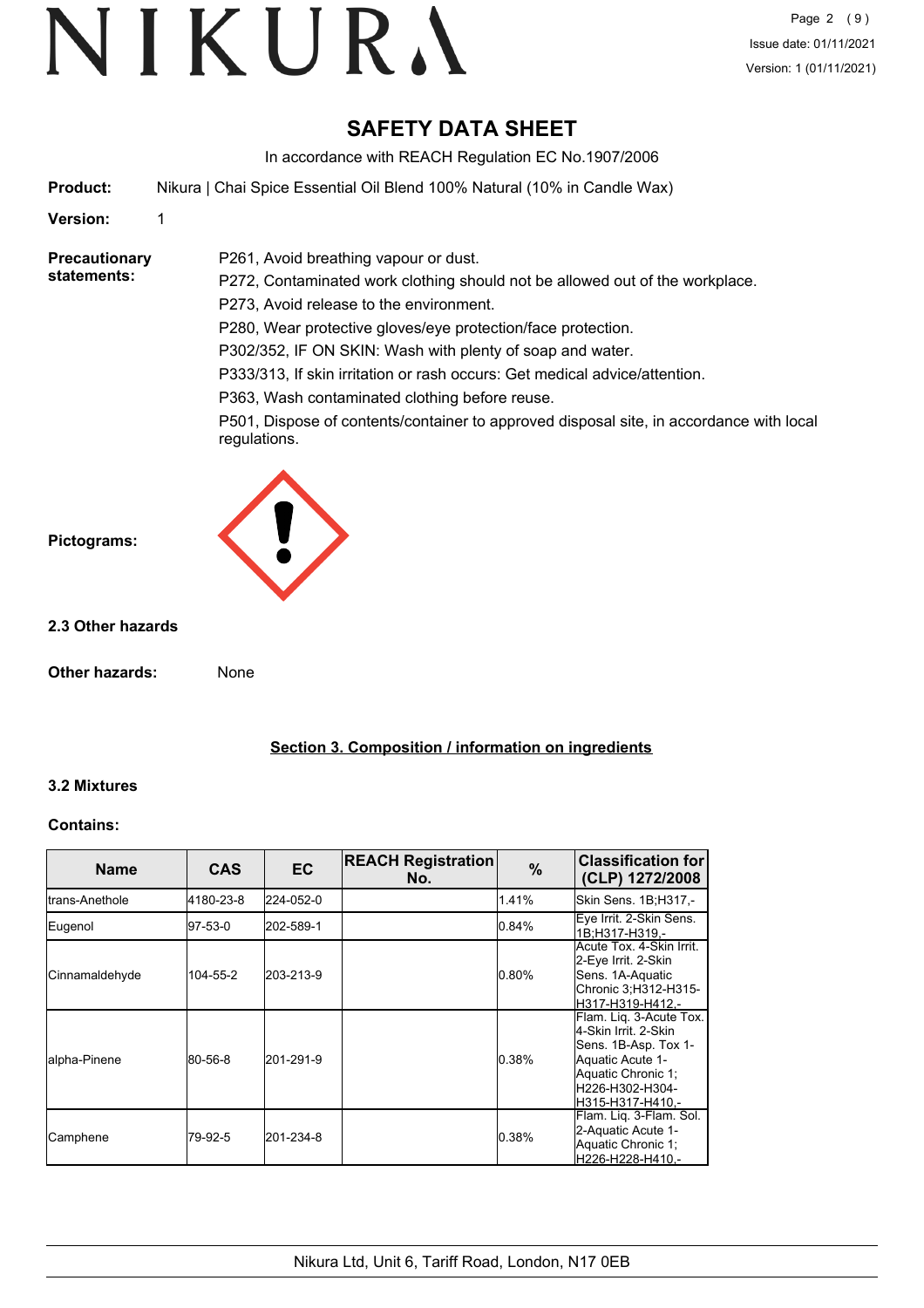# **SAFETY DATA SHEET**

In accordance with REACH Regulation EC No.1907/2006

**Product:** Nikura | Chai Spice Essential Oil Blend 100% Natural (10% in Candle Wax)

P261, Avoid breathing vapour or dust.

# **Version:** 1

**Precautionary statements:**

P272, Contaminated work clothing should not be allowed out of the workplace. P273, Avoid release to the environment. P280, Wear protective gloves/eye protection/face protection. P302/352, IF ON SKIN: Wash with plenty of soap and water. P333/313, If skin irritation or rash occurs: Get medical advice/attention. P363, Wash contaminated clothing before reuse.

P501, Dispose of contents/container to approved disposal site, in accordance with local regulations.



# **2.3 Other hazards**

**Other hazards:** None

**Section 3. Composition / information on ingredients**

# **3.2 Mixtures**

#### **Contains:**

| <b>Name</b>     | <b>CAS</b> | <b>EC</b> | <b>REACH Registration</b><br>No. | $\%$  | <b>Classification for</b><br>(CLP) 1272/2008                                                                                                             |
|-----------------|------------|-----------|----------------------------------|-------|----------------------------------------------------------------------------------------------------------------------------------------------------------|
| Itrans-Anethole | 4180-23-8  | 224-052-0 |                                  | 1.41% | Skin Sens. 1B;H317,-                                                                                                                                     |
| Eugenol         | 97-53-0    | 202-589-1 |                                  | 0.84% | Eye Irrit. 2-Skin Sens.<br>1B:H317-H319 .-                                                                                                               |
| Cinnamaldehyde  | 104-55-2   | 203-213-9 |                                  | 0.80% | Acute Tox. 4-Skin Irrit.<br>2-Eye Irrit. 2-Skin<br>Sens. 1A-Aquatic<br>Chronic 3;H312-H315-<br>H317-H319-H412.-                                          |
| lalpha-Pinene   | 80-56-8    | 201-291-9 |                                  | 0.38% | Flam. Lig. 3-Acute Tox.<br>4-Skin Irrit, 2-Skin<br>Sens. 1B-Asp. Tox 1-<br>Aquatic Acute 1-<br>Aquatic Chronic 1;<br>H226-H302-H304-<br>H315-H317-H410.- |
| <b>Camphene</b> | 79-92-5    | 201-234-8 |                                  | 0.38% | Flam. Liq. 3-Flam. Sol.<br>2-Aquatic Acute 1-<br>Aquatic Chronic 1;<br>H226-H228-H410.-                                                                  |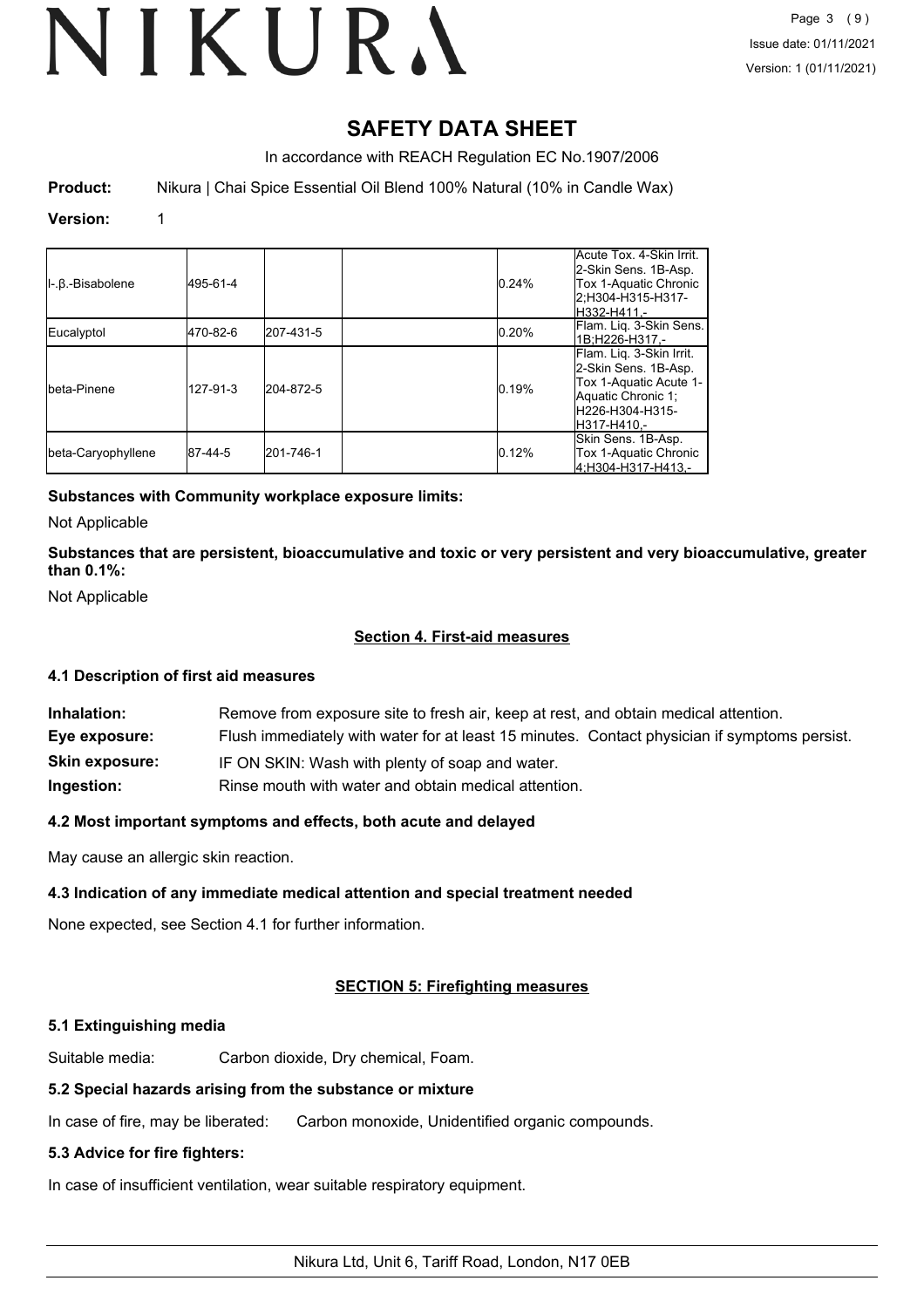# **SAFETY DATA SHEET**

In accordance with REACH Regulation EC No.1907/2006

**Product:** Nikura | Chai Spice Essential Oil Blend 100% Natural (10% in Candle Wax)

#### **Version:** 1

| $\ $ - B.-Bisabolene | 495-61-4  |           | 0.24% | Acute Tox. 4-Skin Irrit.<br>2-Skin Sens. 1B-Asp.<br>Tox 1-Aquatic Chronic<br>2:H304-H315-H317-<br>lH332-H411.-                      |
|----------------------|-----------|-----------|-------|-------------------------------------------------------------------------------------------------------------------------------------|
| Eucalyptol           | 1470-82-6 | 207-431-5 | 0.20% | Flam. Lig. 3-Skin Sens.<br>1B;H226-H317.-                                                                                           |
| Ibeta-Pinene         | 127-91-3  | 204-872-5 | 0.19% | Flam. Lig. 3-Skin Irrit.<br>2-Skin Sens. 1B-Asp.<br>Tox 1-Aquatic Acute 1-<br>Aquatic Chronic 1;<br>H226-H304-H315-<br>IH317-H410.- |
| beta-Caryophyllene   | 87-44-5   | 201-746-1 | 0.12% | Skin Sens. 1B-Asp.<br>Tox 1-Aquatic Chronic<br>4:H304-H317-H413.-                                                                   |

# **Substances with Community workplace exposure limits:**

Not Applicable

**Substances that are persistent, bioaccumulative and toxic or very persistent and very bioaccumulative, greater than 0.1%:**

Not Applicable

# **Section 4. First-aid measures**

# **4.1 Description of first aid measures**

| Inhalation:           | Remove from exposure site to fresh air, keep at rest, and obtain medical attention.          |
|-----------------------|----------------------------------------------------------------------------------------------|
| Eye exposure:         | Flush immediately with water for at least 15 minutes. Contact physician if symptoms persist. |
| <b>Skin exposure:</b> | IF ON SKIN: Wash with plenty of soap and water.                                              |
| Ingestion:            | Rinse mouth with water and obtain medical attention.                                         |

# **4.2 Most important symptoms and effects, both acute and delayed**

May cause an allergic skin reaction.

# **4.3 Indication of any immediate medical attention and special treatment needed**

None expected, see Section 4.1 for further information.

# **SECTION 5: Firefighting measures**

# **5.1 Extinguishing media**

Suitable media: Carbon dioxide, Dry chemical, Foam.

# **5.2 Special hazards arising from the substance or mixture**

In case of fire, may be liberated: Carbon monoxide, Unidentified organic compounds.

# **5.3 Advice for fire fighters:**

In case of insufficient ventilation, wear suitable respiratory equipment.

Nikura Ltd, Unit 6, Tariff Road, London, N17 0EB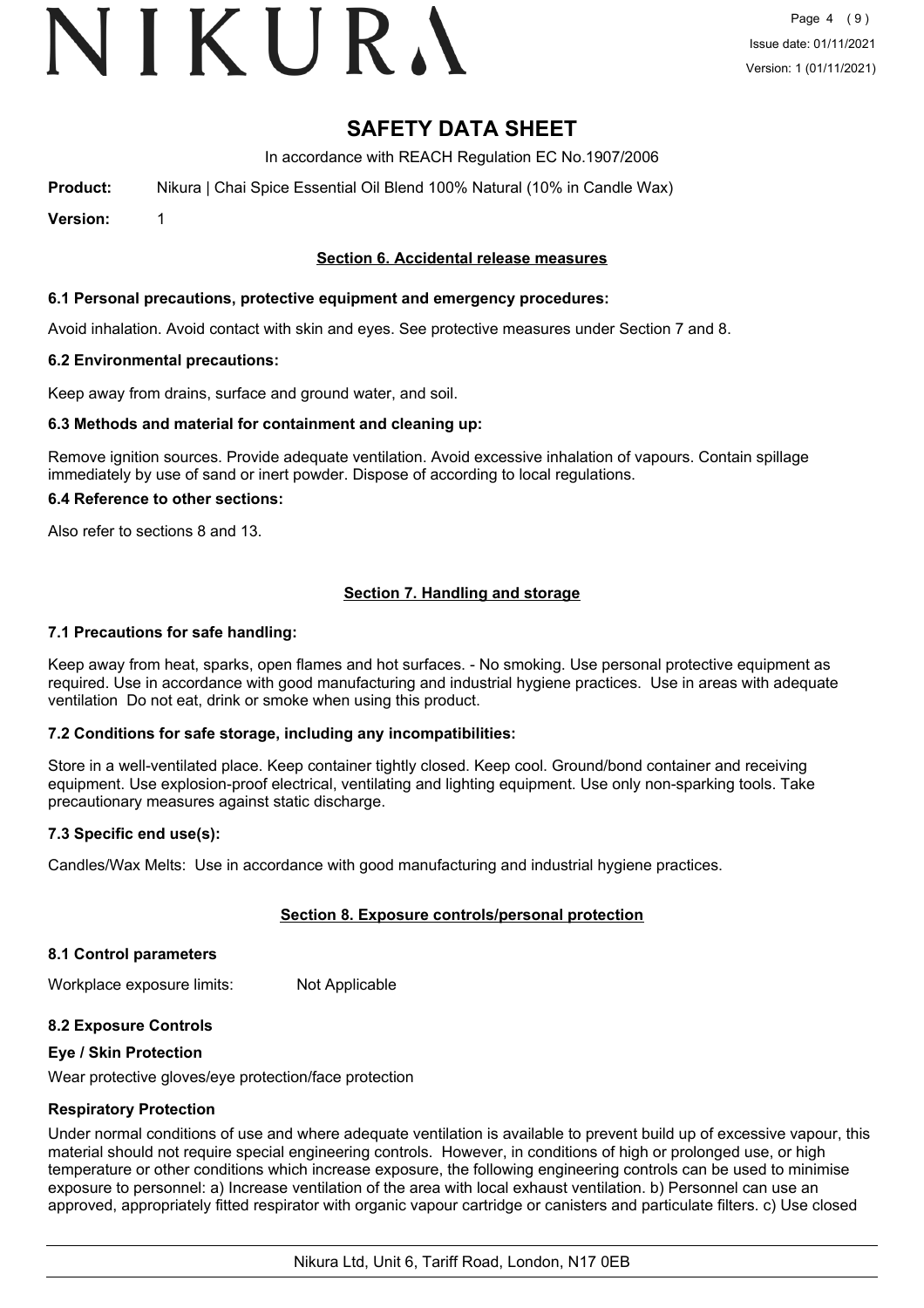# VIKURA

# **SAFETY DATA SHEET**

In accordance with REACH Regulation EC No.1907/2006

**Product:** Nikura | Chai Spice Essential Oil Blend 100% Natural (10% in Candle Wax)

**Version:** 1

# **Section 6. Accidental release measures**

# **6.1 Personal precautions, protective equipment and emergency procedures:**

Avoid inhalation. Avoid contact with skin and eyes. See protective measures under Section 7 and 8.

#### **6.2 Environmental precautions:**

Keep away from drains, surface and ground water, and soil.

#### **6.3 Methods and material for containment and cleaning up:**

Remove ignition sources. Provide adequate ventilation. Avoid excessive inhalation of vapours. Contain spillage immediately by use of sand or inert powder. Dispose of according to local regulations.

#### **6.4 Reference to other sections:**

Also refer to sections 8 and 13.

# **Section 7. Handling and storage**

#### **7.1 Precautions for safe handling:**

Keep away from heat, sparks, open flames and hot surfaces. - No smoking. Use personal protective equipment as required. Use in accordance with good manufacturing and industrial hygiene practices. Use in areas with adequate ventilation Do not eat, drink or smoke when using this product.

# **7.2 Conditions for safe storage, including any incompatibilities:**

Store in a well-ventilated place. Keep container tightly closed. Keep cool. Ground/bond container and receiving equipment. Use explosion-proof electrical, ventilating and lighting equipment. Use only non-sparking tools. Take precautionary measures against static discharge.

# **7.3 Specific end use(s):**

Candles/Wax Melts: Use in accordance with good manufacturing and industrial hygiene practices.

# **Section 8. Exposure controls/personal protection**

#### **8.1 Control parameters**

Workplace exposure limits: Not Applicable

# **8.2 Exposure Controls**

#### **Eye / Skin Protection**

Wear protective gloves/eye protection/face protection

# **Respiratory Protection**

Under normal conditions of use and where adequate ventilation is available to prevent build up of excessive vapour, this material should not require special engineering controls. However, in conditions of high or prolonged use, or high temperature or other conditions which increase exposure, the following engineering controls can be used to minimise exposure to personnel: a) Increase ventilation of the area with local exhaust ventilation. b) Personnel can use an approved, appropriately fitted respirator with organic vapour cartridge or canisters and particulate filters. c) Use closed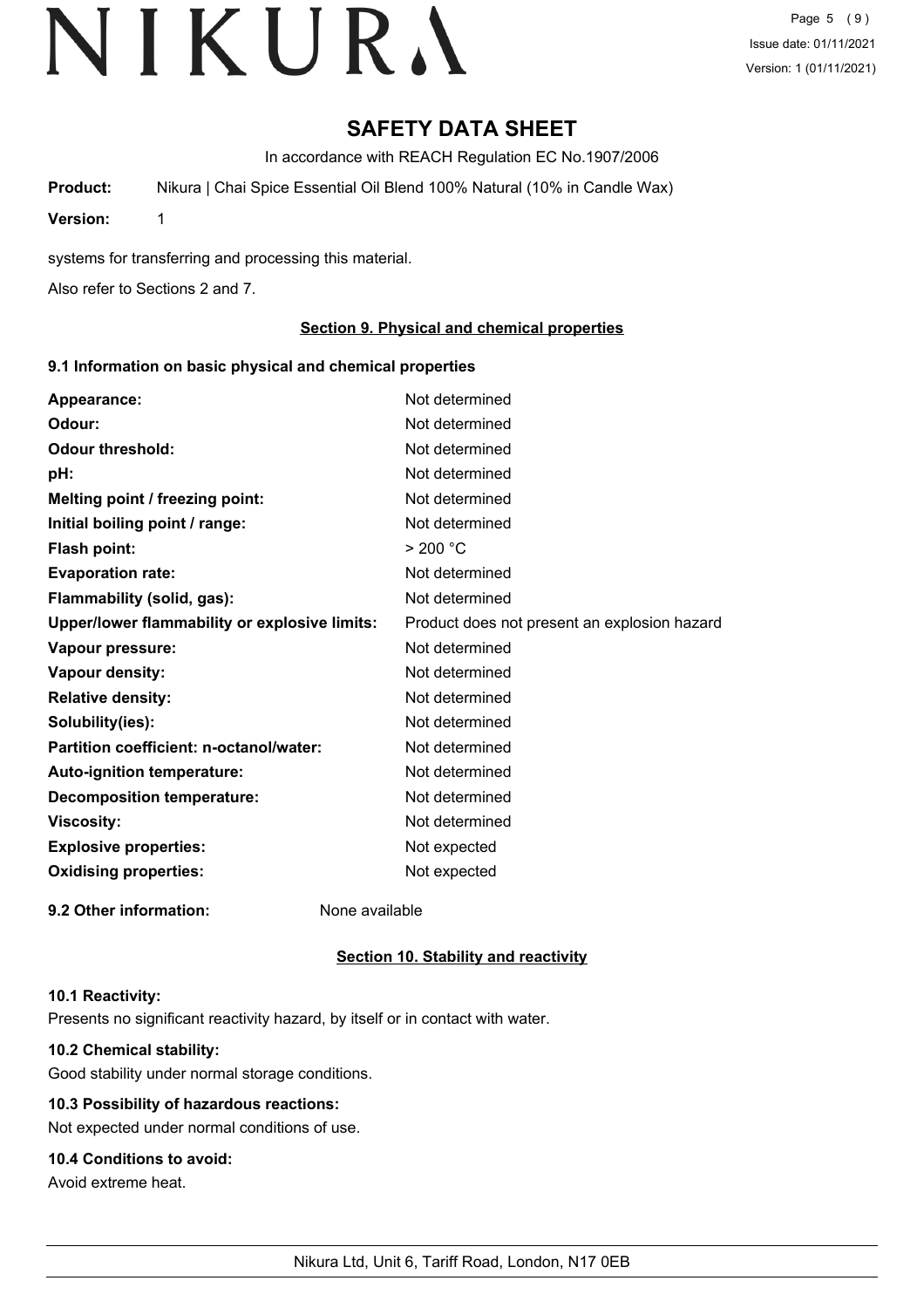Page 5 (9) Issue date: 01/11/2021 Version: 1 (01/11/2021)

# **SAFETY DATA SHEET**

In accordance with REACH Regulation EC No.1907/2006

**Product:** Nikura | Chai Spice Essential Oil Blend 100% Natural (10% in Candle Wax)

**Version:** 1

systems for transferring and processing this material.

Also refer to Sections 2 and 7.

# **Section 9. Physical and chemical properties**

# **9.1 Information on basic physical and chemical properties**

| Appearance:                                   | Not determined                               |
|-----------------------------------------------|----------------------------------------------|
| Odour:                                        | Not determined                               |
| <b>Odour threshold:</b>                       | Not determined                               |
| pH:                                           | Not determined                               |
| Melting point / freezing point:               | Not determined                               |
| Initial boiling point / range:                | Not determined                               |
| <b>Flash point:</b>                           | > 200 °C                                     |
| <b>Evaporation rate:</b>                      | Not determined                               |
| Flammability (solid, gas):                    | Not determined                               |
| Upper/lower flammability or explosive limits: | Product does not present an explosion hazard |
| Vapour pressure:                              | Not determined                               |
| Vapour density:                               | Not determined                               |
| <b>Relative density:</b>                      | Not determined                               |
| Solubility(ies):                              | Not determined                               |
| Partition coefficient: n-octanol/water:       | Not determined                               |
| Auto-ignition temperature:                    | Not determined                               |
| <b>Decomposition temperature:</b>             | Not determined                               |
| <b>Viscosity:</b>                             | Not determined                               |
| <b>Explosive properties:</b>                  | Not expected                                 |
| <b>Oxidising properties:</b>                  | Not expected                                 |
| 9.2 Other information:                        | None available                               |

# **Section 10. Stability and reactivity**

# **10.1 Reactivity:**

Presents no significant reactivity hazard, by itself or in contact with water.

# **10.2 Chemical stability:**

Good stability under normal storage conditions.

# **10.3 Possibility of hazardous reactions:**

Not expected under normal conditions of use.

# **10.4 Conditions to avoid:**

Avoid extreme heat.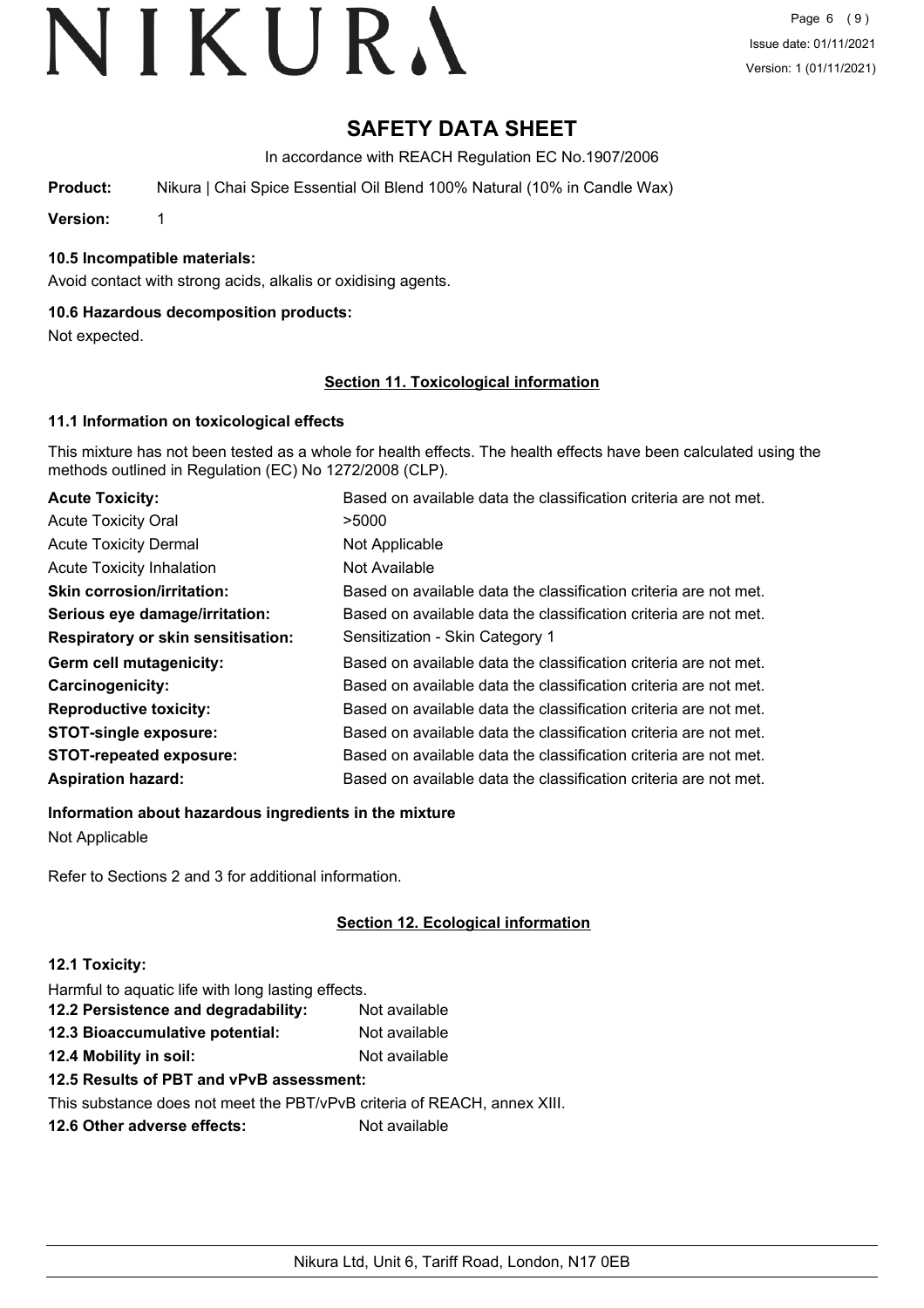# **SAFETY DATA SHEET**

In accordance with REACH Regulation EC No.1907/2006

**Product:** Nikura | Chai Spice Essential Oil Blend 100% Natural (10% in Candle Wax)

**Version:** 1

# **10.5 Incompatible materials:**

Avoid contact with strong acids, alkalis or oxidising agents.

# **10.6 Hazardous decomposition products:**

Not expected.

# **Section 11. Toxicological information**

# **11.1 Information on toxicological effects**

This mixture has not been tested as a whole for health effects. The health effects have been calculated using the methods outlined in Regulation (EC) No 1272/2008 (CLP).

| <b>Acute Toxicity:</b>                    | Based on available data the classification criteria are not met. |
|-------------------------------------------|------------------------------------------------------------------|
| <b>Acute Toxicity Oral</b>                | >5000                                                            |
| <b>Acute Toxicity Dermal</b>              | Not Applicable                                                   |
| <b>Acute Toxicity Inhalation</b>          | Not Available                                                    |
| <b>Skin corrosion/irritation:</b>         | Based on available data the classification criteria are not met. |
| Serious eye damage/irritation:            | Based on available data the classification criteria are not met. |
| <b>Respiratory or skin sensitisation:</b> | Sensitization - Skin Category 1                                  |
| Germ cell mutagenicity:                   | Based on available data the classification criteria are not met. |
| Carcinogenicity:                          | Based on available data the classification criteria are not met. |
| <b>Reproductive toxicity:</b>             | Based on available data the classification criteria are not met. |
| <b>STOT-single exposure:</b>              | Based on available data the classification criteria are not met. |
| <b>STOT-repeated exposure:</b>            | Based on available data the classification criteria are not met. |
| <b>Aspiration hazard:</b>                 | Based on available data the classification criteria are not met. |

**Information about hazardous ingredients in the mixture**

Not Applicable

Refer to Sections 2 and 3 for additional information.

# **Section 12. Ecological information**

# **12.1 Toxicity:**

Harmful to aquatic life with long lasting effects.

| 12.2 Persistence and degradability: | Not available |
|-------------------------------------|---------------|
| 12.3 Bioaccumulative potential:     | Not available |
| 12.4 Mobility in soil:              | Not available |

**12.5 Results of PBT and vPvB assessment:**

This substance does not meet the PBT/vPvB criteria of REACH, annex XIII.

**12.6 Other adverse effects:** Not available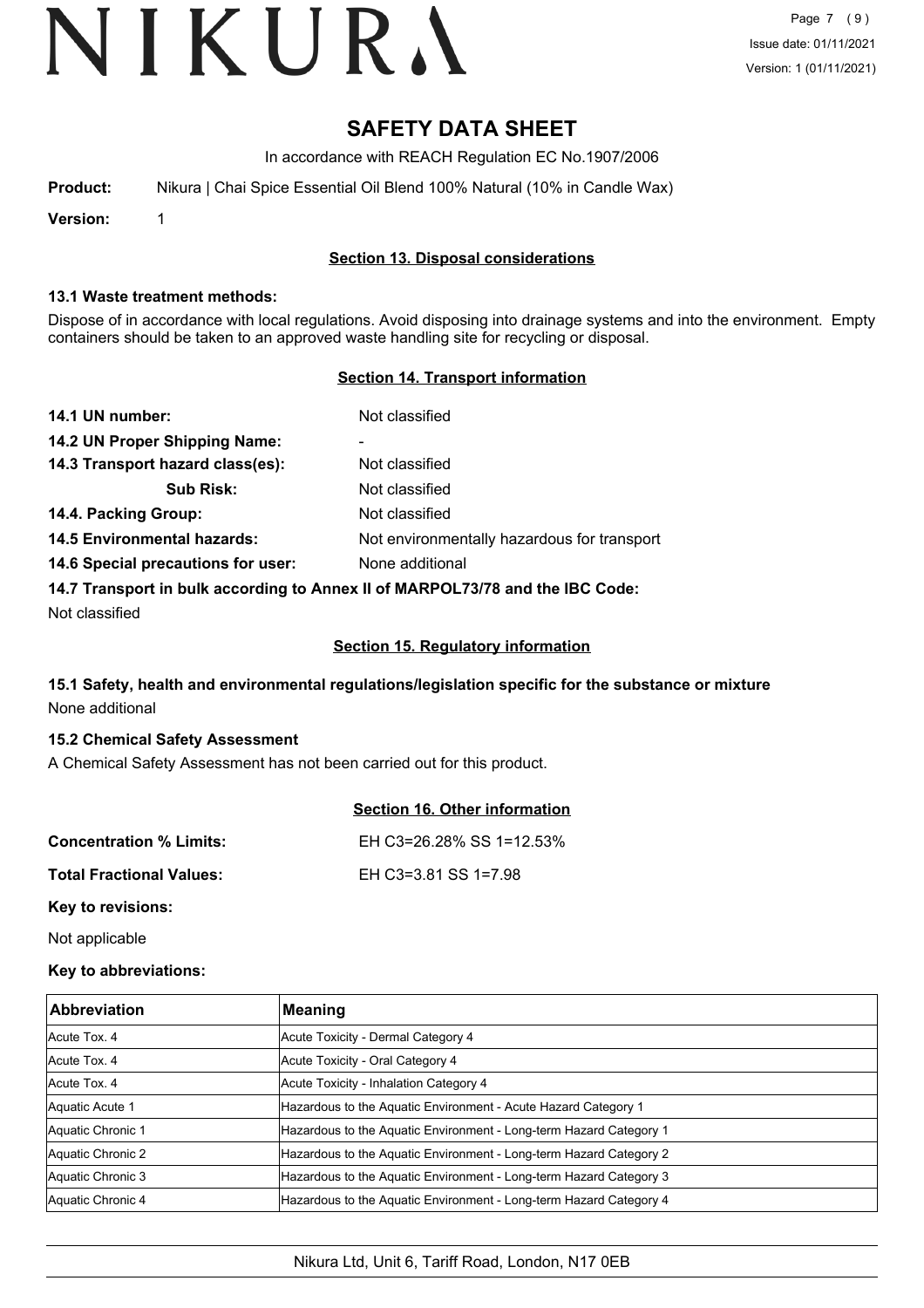Page 7 (9) Issue date: 01/11/2021 Version: 1 (01/11/2021)

# **SAFETY DATA SHEET**

In accordance with REACH Regulation EC No.1907/2006

| <b>Product:</b> |  | Nikura   Chai Spice Essential Oil Blend 100% Natural (10% in Candle Wax) |  |  |  |  |  |  |  |
|-----------------|--|--------------------------------------------------------------------------|--|--|--|--|--|--|--|
|-----------------|--|--------------------------------------------------------------------------|--|--|--|--|--|--|--|

**Version:** 1

# **Section 13. Disposal considerations**

#### **13.1 Waste treatment methods:**

Dispose of in accordance with local regulations. Avoid disposing into drainage systems and into the environment. Empty containers should be taken to an approved waste handling site for recycling or disposal.

# **Section 14. Transport information**

| 14.1 UN number:                                                               | Not classified                              |  |
|-------------------------------------------------------------------------------|---------------------------------------------|--|
| 14.2 UN Proper Shipping Name:                                                 | ۰                                           |  |
| 14.3 Transport hazard class(es):                                              | Not classified                              |  |
| <b>Sub Risk:</b>                                                              | Not classified                              |  |
| 14.4. Packing Group:                                                          | Not classified                              |  |
| <b>14.5 Environmental hazards:</b>                                            | Not environmentally hazardous for transport |  |
| 14.6 Special precautions for user:                                            | None additional                             |  |
| 14.7 Transport in bulk according to Annex II of MARPOL73/78 and the IBC Code: |                                             |  |

Not classified

# **Section 15. Regulatory information**

# **15.1 Safety, health and environmental regulations/legislation specific for the substance or mixture** None additional

# **15.2 Chemical Safety Assessment**

A Chemical Safety Assessment has not been carried out for this product.

|                                 | Section 16. Other information |
|---------------------------------|-------------------------------|
| <b>Concentration % Limits:</b>  | EH C3=26.28% SS 1=12.53%      |
| <b>Total Fractional Values:</b> | EH C3=3.81 SS 1=7.98          |
| Key to revisions:               |                               |

Not applicable

# **Key to abbreviations:**

| <b>Abbreviation</b> | Meaning                                                            |
|---------------------|--------------------------------------------------------------------|
| Acute Tox, 4        | Acute Toxicity - Dermal Category 4                                 |
| Acute Tox, 4        | Acute Toxicity - Oral Category 4                                   |
| Acute Tox, 4        | Acute Toxicity - Inhalation Category 4                             |
| Aquatic Acute 1     | Hazardous to the Aquatic Environment - Acute Hazard Category 1     |
| Aquatic Chronic 1   | Hazardous to the Aquatic Environment - Long-term Hazard Category 1 |
| Aquatic Chronic 2   | Hazardous to the Aquatic Environment - Long-term Hazard Category 2 |
| Aquatic Chronic 3   | Hazardous to the Aquatic Environment - Long-term Hazard Category 3 |
| Aquatic Chronic 4   | Hazardous to the Aquatic Environment - Long-term Hazard Category 4 |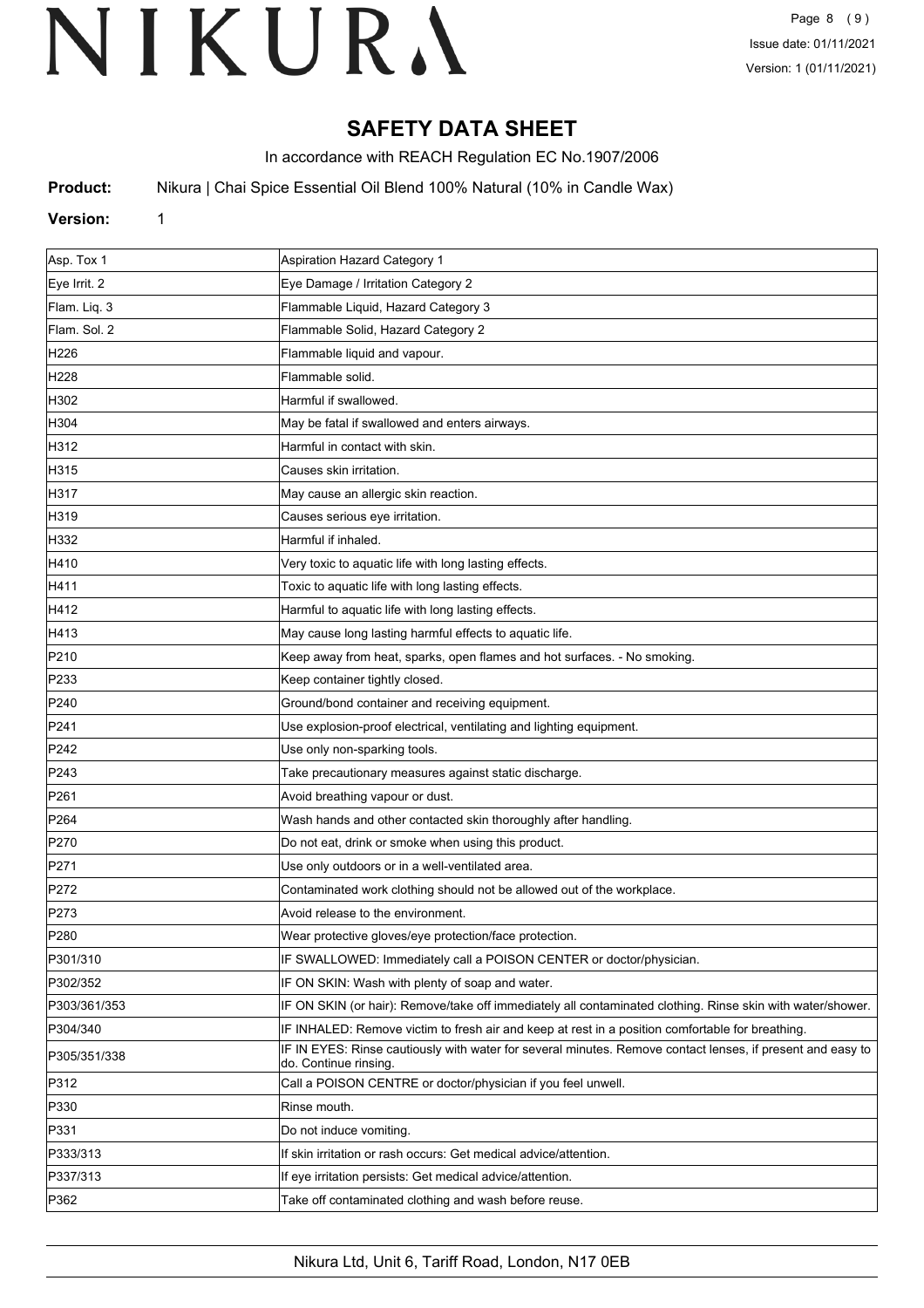# **SAFETY DATA SHEET**

In accordance with REACH Regulation EC No.1907/2006

**Product:** Nikura | Chai Spice Essential Oil Blend 100% Natural (10% in Candle Wax)

# **Version:** 1

| Asp. Tox 1       | Aspiration Hazard Category 1                                                                                                       |
|------------------|------------------------------------------------------------------------------------------------------------------------------------|
| Eye Irrit. 2     | Eye Damage / Irritation Category 2                                                                                                 |
| Flam. Liq. 3     | Flammable Liquid, Hazard Category 3                                                                                                |
| Flam. Sol. 2     | Flammable Solid, Hazard Category 2                                                                                                 |
| H226             | Flammable liquid and vapour.                                                                                                       |
| H <sub>228</sub> | Flammable solid.                                                                                                                   |
| H302             | Harmful if swallowed.                                                                                                              |
| H304             | May be fatal if swallowed and enters airways.                                                                                      |
| H312             | Harmful in contact with skin.                                                                                                      |
| H315             | Causes skin irritation.                                                                                                            |
| H317             | May cause an allergic skin reaction.                                                                                               |
| H319             | Causes serious eye irritation.                                                                                                     |
| H332             | Harmful if inhaled.                                                                                                                |
| H410             | Very toxic to aquatic life with long lasting effects.                                                                              |
| H411             | Toxic to aquatic life with long lasting effects.                                                                                   |
| H412             | Harmful to aquatic life with long lasting effects.                                                                                 |
| H413             | May cause long lasting harmful effects to aquatic life.                                                                            |
| P210             | Keep away from heat, sparks, open flames and hot surfaces. - No smoking.                                                           |
| P233             | Keep container tightly closed.                                                                                                     |
| P240             | Ground/bond container and receiving equipment.                                                                                     |
| P241             | Use explosion-proof electrical, ventilating and lighting equipment.                                                                |
| P242             | Use only non-sparking tools.                                                                                                       |
| P243             | Take precautionary measures against static discharge.                                                                              |
| P261             | Avoid breathing vapour or dust.                                                                                                    |
| P <sub>264</sub> | Wash hands and other contacted skin thoroughly after handling.                                                                     |
| P270             | Do not eat, drink or smoke when using this product.                                                                                |
| P271             | Use only outdoors or in a well-ventilated area.                                                                                    |
| P272             | Contaminated work clothing should not be allowed out of the workplace.                                                             |
| P273             | Avoid release to the environment.                                                                                                  |
| P280             | Wear protective gloves/eye protection/face protection.                                                                             |
| P301/310         | IF SWALLOWED: Immediately call a POISON CENTER or doctor/physician.                                                                |
| P302/352         | IF ON SKIN: Wash with plenty of soap and water.                                                                                    |
| P303/361/353     | IF ON SKIN (or hair): Remove/take off immediately all contaminated clothing. Rinse skin with water/shower.                         |
| P304/340         | IF INHALED: Remove victim to fresh air and keep at rest in a position comfortable for breathing.                                   |
| P305/351/338     | IF IN EYES: Rinse cautiously with water for several minutes. Remove contact lenses, if present and easy to<br>do. Continue rinsing |
| P312             | Call a POISON CENTRE or doctor/physician if you feel unwell.                                                                       |
| P330             | Rinse mouth.                                                                                                                       |
| P331             | Do not induce vomiting.                                                                                                            |
| P333/313         | If skin irritation or rash occurs: Get medical advice/attention.                                                                   |
| P337/313         | If eye irritation persists: Get medical advice/attention.                                                                          |
| P362             | Take off contaminated clothing and wash before reuse.                                                                              |